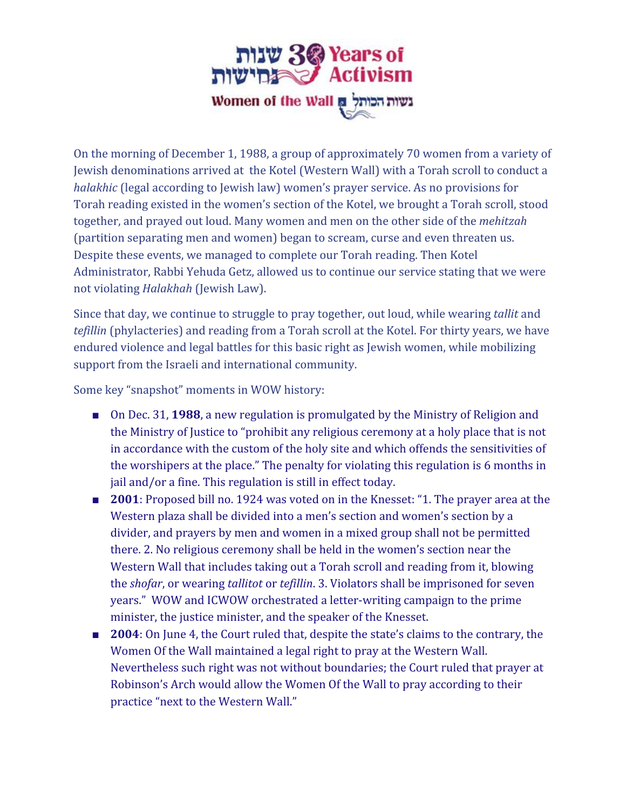

On the morning of December 1, 1988, a group of approximately 70 women from a variety of Jewish denominations arrived at the Kotel (Western Wall) with a Torah scroll to conduct a *halakhic* (legal according to Jewish law) women's prayer service. As no provisions for Torah reading existed in the women's section of the Kotel, we brought a Torah scroll, stood together, and prayed out loud. Many women and men on the other side of the *mehitzah* (partition separating men and women) began to scream, curse and even threaten us. Despite these events, we managed to complete our Torah reading. Then Kotel Administrator, Rabbi Yehuda Getz, allowed us to continue our service stating that we were not violating *Halakhah* (Jewish Law).

Since that day, we continue to struggle to pray together, out loud, while wearing *tallit* and *tefillin* (phylacteries) and reading from a Torah scroll at the Kotel. For thirty years, we have endured violence and legal battles for this basic right as Jewish women, while mobilizing support from the Israeli and international community.

Some key "snapshot" moments in WOW history:

- On Dec. 31, **1988**, a new regulation is promulgated by the Ministry of Religion and the Ministry of Justice to "prohibit any religious ceremony at a holy place that is not in accordance with the custom of the holy site and which offends the sensitivities of the worshipers at the place." The penalty for violating this regulation is 6 months in jail and/or a fine. This regulation is still in effect today.
- **2001**: Proposed bill no. 1924 was voted on in the Knesset: "1. The prayer area at the Western plaza shall be divided into a men's section and women's section by a divider, and prayers by men and women in a mixed group shall not be permitted there. 2. No religious ceremony shall be held in the women's section near the Western Wall that includes taking out a Torah scroll and reading from it, blowing the *shofar*, or wearing *tallitot* or *tefillin*. 3. Violators shall be imprisoned for seven years." WOW and ICWOW orchestrated a letter-writing campaign to the prime minister, the justice minister, and the speaker of the Knesset.
- **2004**: On June 4, the Court ruled that, despite the state's claims to the contrary, the Women Of the Wall maintained a legal right to pray at the Western Wall. Nevertheless such right was not without boundaries; the Court ruled that prayer at Robinson's Arch would allow the Women Of the Wall to pray according to their practice "next to the Western Wall."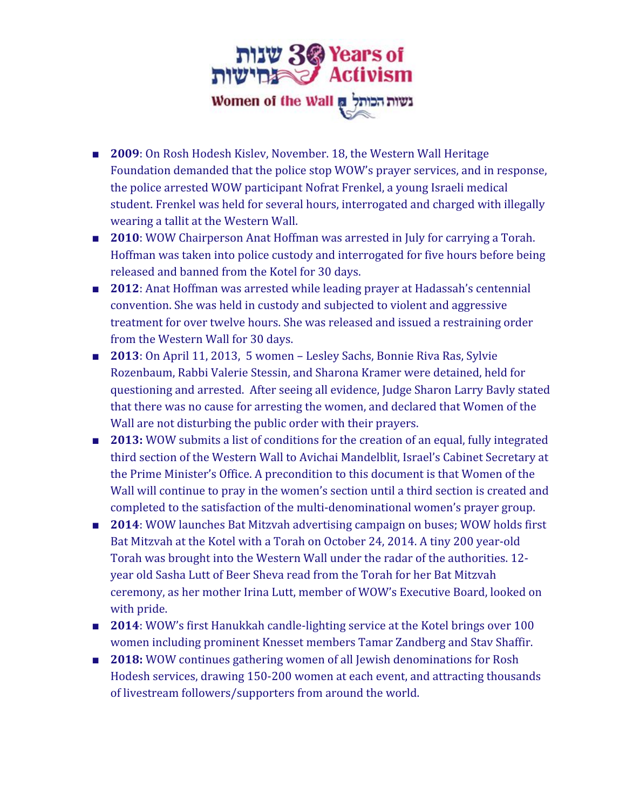

- **2009**: On Rosh Hodesh Kislev, November. 18, the Western Wall Heritage Foundation demanded that the police stop WOW's prayer services, and in response, the police arrested WOW participant Nofrat Frenkel, a young Israeli medical student. Frenkel was held for several hours, interrogated and charged with illegally wearing a tallit at the Western Wall.
- **2010**: WOW Chairperson Anat Hoffman was arrested in July for carrying a Torah. Hoffman was taken into police custody and interrogated for five hours before being released and banned from the Kotel for 30 days.
- **2012**: Anat Hoffman was arrested while leading prayer at Hadassah's centennial convention. She was held in custody and subjected to violent and aggressive treatment for over twelve hours. She was released and issued a restraining order from the Western Wall for 30 days.
- **2013**: On April 11, 2013, 5 women Lesley Sachs, Bonnie Riva Ras, Sylvie Rozenbaum, Rabbi Valerie Stessin, and Sharona Kramer were detained, held for questioning and arrested. After seeing all evidence, Judge Sharon Larry Bavly stated that there was no cause for arresting the women, and declared that Women of the Wall are not disturbing the public order with their prayers.
- **2013:** WOW submits a list of conditions for the creation of an equal, fully integrated third section of the Western Wall to Avichai Mandelblit, Israel's Cabinet Secretary at the Prime Minister's Office. A precondition to this document is that Women of the Wall will continue to pray in the women's section until a third section is created and completed to the satisfaction of the multi-denominational women's prayer group.
- **2014**: WOW launches Bat Mitzvah advertising campaign on buses; WOW holds first Bat Mitzvah at the Kotel with a Torah on October 24, 2014. A tiny 200 year-old Torah was brought into the Western Wall under the radar of the authorities. 12 year old Sasha Lutt of Beer Sheva read from the Torah for her Bat Mitzvah ceremony, as her mother Irina Lutt, member of WOW's Executive Board, looked on with pride.
- **2014**: WOW's first Hanukkah candle-lighting service at the Kotel brings over 100 women including prominent Knesset members Tamar Zandberg and Stav Shaffir.
- **2018:** WOW continues gathering women of all Jewish denominations for Rosh Hodesh services, drawing 150-200 women at each event, and attracting thousands of livestream followers/supporters from around the world.